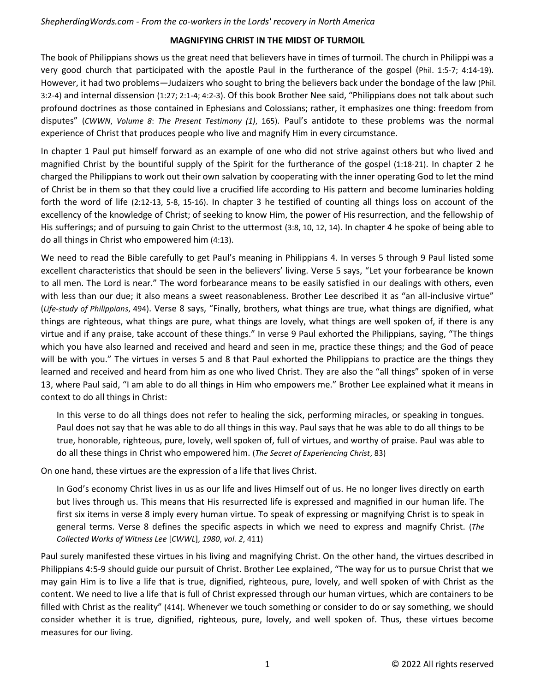## **MAGNIFYING CHRIST IN THE MIDST OF TURMOIL**

The book of Philippians shows us the great need that believers have in times of turmoil. The church in Philippi was a very good church that participated with the apostle Paul in the furtherance of the gospel (Phil. 1:5-7; 4:14-19). However, it had two problems—Judaizers who sought to bring the believers back under the bondage of the law (Phil. 3:2-4) and internal dissension (1:27; 2:1-4; 4:2-3). Of this book Brother Nee said, "Philippians does not talk about such profound doctrines as those contained in Ephesians and Colossians; rather, it emphasizes one thing: freedom from disputes" (*CWWN*, *Volume 8*: *The Present Testimony (1)*, 165). Paul's antidote to these problems was the normal experience of Christ that produces people who live and magnify Him in every circumstance.

In chapter 1 Paul put himself forward as an example of one who did not strive against others but who lived and magnified Christ by the bountiful supply of the Spirit for the furtherance of the gospel (1:18-21). In chapter 2 he charged the Philippians to work out their own salvation by cooperating with the inner operating God to let the mind of Christ be in them so that they could live a crucified life according to His pattern and become luminaries holding forth the word of life (2:12-13, 5-8, 15-16). In chapter 3 he testified of counting all things loss on account of the excellency of the knowledge of Christ; of seeking to know Him, the power of His resurrection, and the fellowship of His sufferings; and of pursuing to gain Christ to the uttermost (3:8, 10, 12, 14). In chapter 4 he spoke of being able to do all things in Christ who empowered him (4:13).

We need to read the Bible carefully to get Paul's meaning in Philippians 4. In verses 5 through 9 Paul listed some excellent characteristics that should be seen in the believers' living. Verse 5 says, "Let your forbearance be known to all men. The Lord is near." The word forbearance means to be easily satisfied in our dealings with others, even with less than our due; it also means a sweet reasonableness. Brother Lee described it as "an all-inclusive virtue" (*Life-study of Philippians*, 494). Verse 8 says, "Finally, brothers, what things are true, what things are dignified, what things are righteous, what things are pure, what things are lovely, what things are well spoken of, if there is any virtue and if any praise, take account of these things." In verse 9 Paul exhorted the Philippians, saying, "The things which you have also learned and received and heard and seen in me, practice these things; and the God of peace will be with you." The virtues in verses 5 and 8 that Paul exhorted the Philippians to practice are the things they learned and received and heard from him as one who lived Christ. They are also the "all things" spoken of in verse 13, where Paul said, "I am able to do all things in Him who empowers me." Brother Lee explained what it means in context to do all things in Christ:

In this verse to do all things does not refer to healing the sick, performing miracles, or speaking in tongues. Paul does not say that he was able to do all things in this way. Paul says that he was able to do all things to be true, honorable, righteous, pure, lovely, well spoken of, full of virtues, and worthy of praise. Paul was able to do all these things in Christ who empowered him. (*The Secret of Experiencing Christ*, 83)

On one hand, these virtues are the expression of a life that lives Christ.

In God's economy Christ lives in us as our life and lives Himself out of us. He no longer lives directly on earth but lives through us. This means that His resurrected life is expressed and magnified in our human life. The first six items in verse 8 imply every human virtue. To speak of expressing or magnifying Christ is to speak in general terms. Verse 8 defines the specific aspects in which we need to express and magnify Christ. (*The Collected Works of Witness Lee* [*CWWL*], *1980*, *vol. 2*, 411)

Paul surely manifested these virtues in his living and magnifying Christ. On the other hand, the virtues described in Philippians 4:5-9 should guide our pursuit of Christ. Brother Lee explained, "The way for us to pursue Christ that we may gain Him is to live a life that is true, dignified, righteous, pure, lovely, and well spoken of with Christ as the content. We need to live a life that is full of Christ expressed through our human virtues, which are containers to be filled with Christ as the reality" (414). Whenever we touch something or consider to do or say something, we should consider whether it is true, dignified, righteous, pure, lovely, and well spoken of. Thus, these virtues become measures for our living.